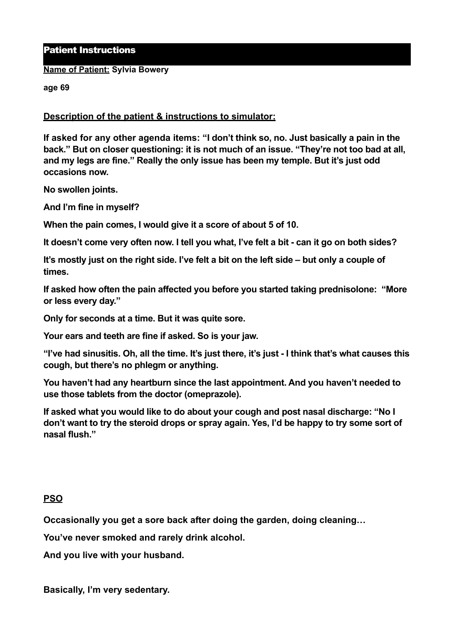Patient Instructions

**Name of Patient: Sylvia Bowery** 

**age 69** 

**Description of the patient & instructions to simulator:** 

**If asked for any other agenda items: "I don't think so, no. Just basically a pain in the back." But on closer questioning: it is not much of an issue. "They're not too bad at all, and my legs are fine." Really the only issue has been my temple. But it's just odd occasions now.** 

**No swollen joints.** 

**And I'm fine in myself?** 

**When the pain comes, I would give it a score of about 5 of 10.** 

**It doesn't come very often now. I tell you what, I've felt a bit - can it go on both sides?** 

**It's mostly just on the right side. I've felt a bit on the left side – but only a couple of times.** 

**If asked how often the pain affected you before you started taking prednisolone: "More or less every day."** 

**Only for seconds at a time. But it was quite sore.** 

**Your ears and teeth are fine if asked. So is your jaw.** 

**"I've had sinusitis. Oh, all the time. It's just there, it's just - I think that's what causes this cough, but there's no phlegm or anything.** 

**You haven't had any heartburn since the last appointment. And you haven't needed to use those tablets from the doctor (omeprazole).** 

**If asked what you would like to do about your cough and post nasal discharge: "No I don't want to try the steroid drops or spray again. Yes, I'd be happy to try some sort of nasal flush."** 

## **PSO**

**Occasionally you get a sore back after doing the garden, doing cleaning…**

**You've never smoked and rarely drink alcohol.** 

**And you live with your husband.** 

**Basically, I'm very sedentary.**